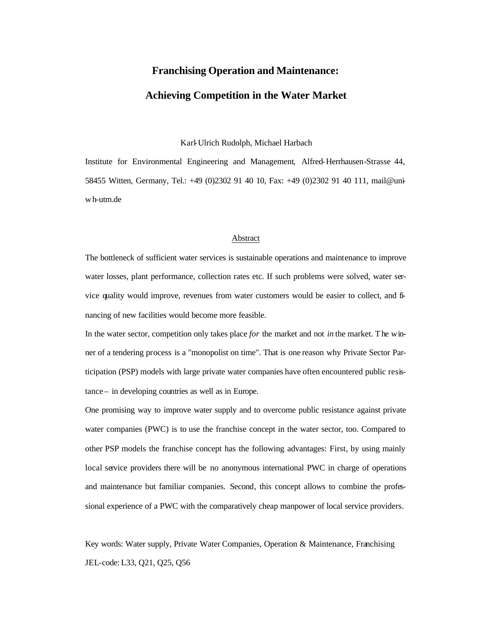# **Franchising Operation and Maintenance:**

## **Achieving Competition in the Water Market**

Karl-Ulrich Rudolph, Michael Harbach

Institute for Environmental Engineering and Management, Alfred-Herrhausen-Strasse 44, 58455 Witten, Germany, Tel.: +49 (0)2302 91 40 10, Fax: +49 (0)2302 91 40 111, mail@uniw h-utm.de

## Abstract

The bottleneck of sufficient water services is sustainable operations and maintenance to improve water losses, plant performance, collection rates etc. If such problems were solved, water service quality would improve, revenues from water customers would be easier to collect, and financing of new facilities would become more feasible.

In the water sector, competition only takes place *for* the market and not *in* the market. The winner of a tendering process is a "monopolist on time". That is one reason why Private Sector Participation (PSP) models with large private water companies have often encountered public resistance – in developing countries as well as in Europe.

One promising way to improve water supply and to overcome public resistance against private water companies (PWC) is to use the franchise concept in the water sector, too. Compared to other PSP models the franchise concept has the following advantages: First, by using mainly local service providers there will be no anonymous international PWC in charge of operations and maintenance but familiar companies. Second, this concept allows to combine the professional experience of a PWC with the comparatively cheap manpower of local service providers.

Key words: Water supply, Private Water Companies, Operation & Maintenance, Franchising JEL-code: L33, Q21, Q25, Q56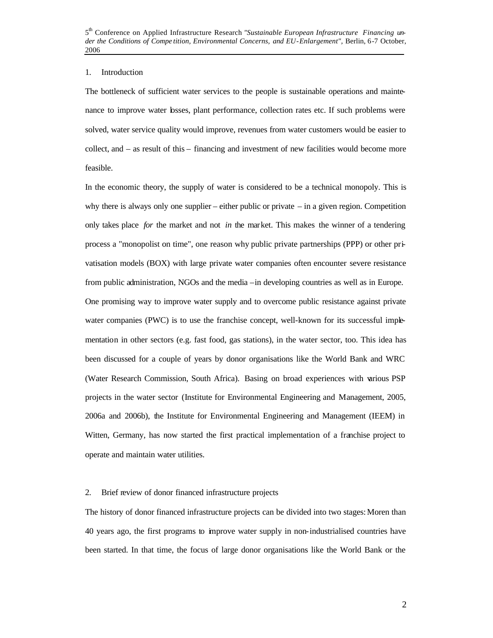## 1. Introduction

The bottleneck of sufficient water services to the people is sustainable operations and maintenance to improve water losses, plant performance, collection rates etc. If such problems were solved, water service quality would improve, revenues from water customers would be easier to collect, and – as result of this – financing and investment of new facilities would become more feasible.

In the economic theory, the supply of water is considered to be a technical monopoly. This is why there is always only one supplier – either public or private  $-$  in a given region. Competition only takes place *for* the market and not *in* the market. This makes the winner of a tendering process a "monopolist on time", one reason why public private partnerships (PPP) or other privatisation models (BOX) with large private water companies often encounter severe resistance from public administration, NGOs and the media –in developing countries as well as in Europe. One promising way to improve water supply and to overcome public resistance against private water companies (PWC) is to use the franchise concept, well-known for its successful implementation in other sectors (e.g. fast food, gas stations), in the water sector, too. This idea has been discussed for a couple of years by donor organisations like the World Bank and WRC (Water Research Commission, South Africa). Basing on broad experiences with various PSP projects in the water sector (Institute for Environmental Engineering and Management, 2005, 2006a and 2006b), the Institute for Environmental Engineering and Management (IEEM) in Witten, Germany, has now started the first practical implementation of a franchise project to operate and maintain water utilities.

### 2. Brief review of donor financed infrastructure projects

The history of donor financed infrastructure projects can be divided into two stages: Moren than 40 years ago, the first programs to improve water supply in non-industrialised countries have been started. In that time, the focus of large donor organisations like the World Bank or the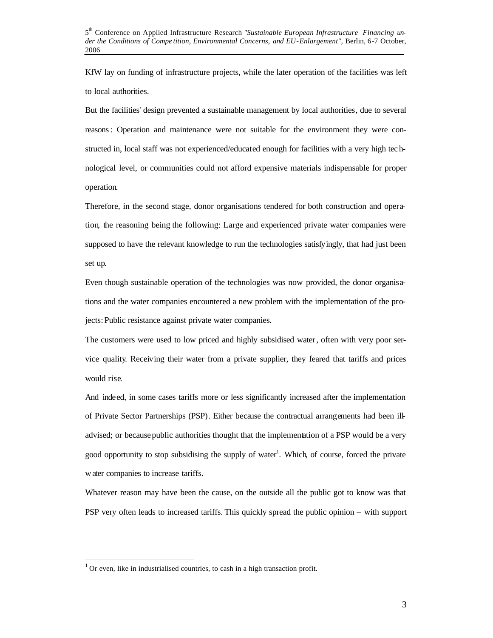KfW lay on funding of infrastructure projects, while the later operation of the facilities was left to local authorities.

But the facilities' design prevented a sustainable management by local authorities, due to several reasons: Operation and maintenance were not suitable for the environment they were constructed in, local staff was not experienced/educated enough for facilities with a very high tec hnological level, or communities could not afford expensive materials indispensable for proper operation.

Therefore, in the second stage, donor organisations tendered for both construction and operation, the reasoning being the following: Large and experienced private water companies were supposed to have the relevant knowledge to run the technologies satisfyingly, that had just been set up.

Even though sustainable operation of the technologies was now provided, the donor organisations and the water companies encountered a new problem with the implementation of the projects: Public resistance against private water companies.

The customers were used to low priced and highly subsidised water, often with very poor service quality. Receiving their water from a private supplier, they feared that tariffs and prices would rise.

And indeed, in some cases tariffs more or less significantly increased after the implementation of Private Sector Partnerships (PSP). Either because the contractual arrangements had been illadvised; or because public authorities thought that the implementation of a PSP would be a very good opportunity to stop subsidising the supply of water<sup>1</sup>. Which, of course, forced the private water companies to increase tariffs.

Whatever reason may have been the cause, on the outside all the public got to know was that PSP very often leads to increased tariffs. This quickly spread the public opinion – with support

 $\overline{\phantom{a}}$ 

 $1$  Or even, like in industrialised countries, to cash in a high transaction profit.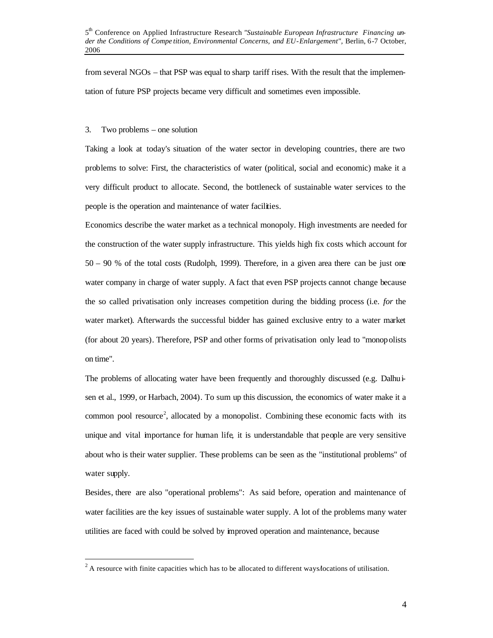from several NGOs – that PSP was equal to sharp tariff rises. With the result that the implementation of future PSP projects became very difficult and sometimes even impossible.

## 3. Two problems – one solution

 $\overline{\phantom{a}}$ 

Taking a look at today's situation of the water sector in developing countries, there are two problems to solve: First, the characteristics of water (political, social and economic) make it a very difficult product to allocate. Second, the bottleneck of sustainable water services to the people is the operation and maintenance of water facilities.

Economics describe the water market as a technical monopoly. High investments are needed for the construction of the water supply infrastructure. This yields high fix costs which account for 50 – 90 % of the total costs (Rudolph, 1999). Therefore, in a given area there can be just one water company in charge of water supply. A fact that even PSP projects cannot change because the so called privatisation only increases competition during the bidding process (i.e. *for* the water market). Afterwards the successful bidder has gained exclusive entry to a water market (for about 20 years). Therefore, PSP and other forms of privatisation only lead to "monopolists on time".

The problems of allocating water have been frequently and thoroughly discussed (e.g. Dalhu $\dot{\mathbf{i}}$ sen et al., 1999, or Harbach, 2004). To sum up this discussion, the economics of water make it a common pool resource<sup>2</sup>, allocated by a monopolist. Combining these economic facts with its unique and vital importance for human life, it is understandable that people are very sensitive about who is their water supplier. These problems can be seen as the "institutional problems" of water supply.

Besides, there are also "operational problems": As said before, operation and maintenance of water facilities are the key issues of sustainable water supply. A lot of the problems many water utilities are faced with could be solved by improved operation and maintenance, because

 $2^2$  A resource with finite capacities which has to be allocated to different ways/locations of utilisation.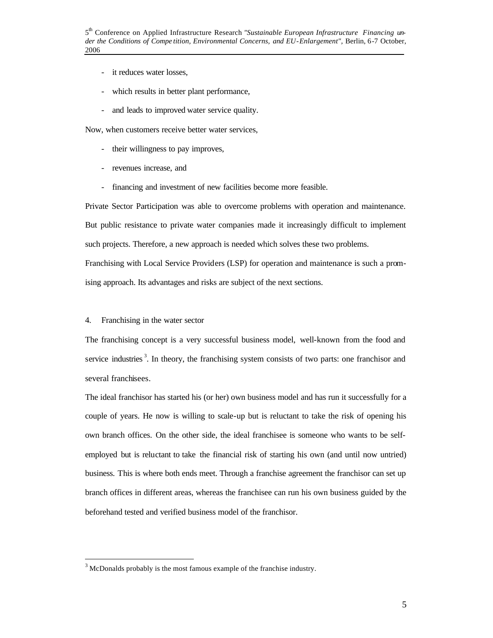- it reduces water losses,
- which results in better plant performance,
- and leads to improved water service quality.

Now, when customers receive better water services,

- their willingness to pay improves,
- revenues increase, and
- financing and investment of new facilities become more feasible.

Private Sector Participation was able to overcome problems with operation and maintenance. But public resistance to private water companies made it increasingly difficult to implement such projects. Therefore, a new approach is needed which solves these two problems. Franchising with Local Service Providers (LSP) for operation and maintenance is such a promising approach. Its advantages and risks are subject of the next sections.

## 4. Franchising in the water sector

 $\overline{\phantom{a}}$ 

The franchising concept is a very successful business model, well-known from the food and service industries<sup>3</sup>. In theory, the franchising system consists of two parts: one franchisor and several franchisees.

The ideal franchisor has started his (or her) own business model and has run it successfully for a couple of years. He now is willing to scale-up but is reluctant to take the risk of opening his own branch offices. On the other side, the ideal franchisee is someone who wants to be selfemployed but is reluctant to take the financial risk of starting his own (and until now untried) business. This is where both ends meet. Through a franchise agreement the franchisor can set up branch offices in different areas, whereas the franchisee can run his own business guided by the beforehand tested and verified business model of the franchisor.

 $3$  McDonalds probably is the most famous example of the franchise industry.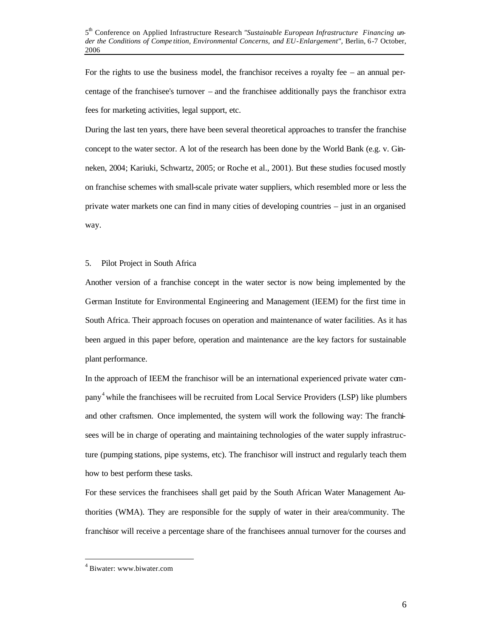For the rights to use the business model, the franchisor receives a royalty fee – an annual percentage of the franchisee's turnover – and the franchisee additionally pays the franchisor extra fees for marketing activities, legal support, etc.

During the last ten years, there have been several theoretical approaches to transfer the franchise concept to the water sector. A lot of the research has been done by the World Bank (e.g. v. Ginneken, 2004; Kariuki, Schwartz, 2005; or Roche et al., 2001). But these studies focused mostly on franchise schemes with small-scale private water suppliers, which resembled more or less the private water markets one can find in many cities of developing countries – just in an organised way.

## 5. Pilot Project in South Africa

Another version of a franchise concept in the water sector is now being implemented by the German Institute for Environmental Engineering and Management (IEEM) for the first time in South Africa. Their approach focuses on operation and maintenance of water facilities. As it has been argued in this paper before, operation and maintenance are the key factors for sustainable plant performance.

In the approach of IEEM the franchisor will be an international experienced private water company 4 while the franchisees will be recruited from Local Service Providers (LSP) like plumbers and other craftsmen. Once implemented, the system will work the following way: The franchisees will be in charge of operating and maintaining technologies of the water supply infrastructure (pumping stations, pipe systems, etc). The franchisor will instruct and regularly teach them how to best perform these tasks.

For these services the franchisees shall get paid by the South African Water Management Authorities (WMA). They are responsible for the supply of water in their area/community. The franchisor will receive a percentage share of the franchisees annual turnover for the courses and

 $\overline{\phantom{a}}$ 

<sup>4</sup> Biwater: www.biwater.com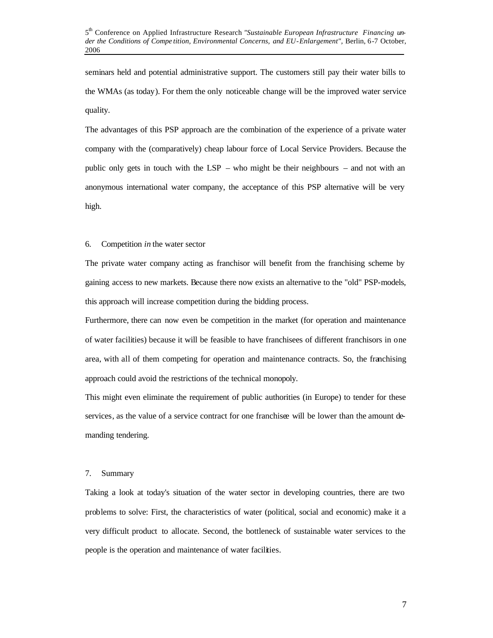seminars held and potential administrative support. The customers still pay their water bills to the WMAs (as today). For them the only noticeable change will be the improved water service quality.

The advantages of this PSP approach are the combination of the experience of a private water company with the (comparatively) cheap labour force of Local Service Providers. Because the public only gets in touch with the LSP – who might be their neighbours – and not with an anonymous international water company, the acceptance of this PSP alternative will be very high.

## 6. Competition *in* the water sector

The private water company acting as franchisor will benefit from the franchising scheme by gaining access to new markets. Because there now exists an alternative to the "old" PSP-models, this approach will increase competition during the bidding process.

Furthermore, there can now even be competition in the market (for operation and maintenance of water facilities) because it will be feasible to have franchisees of different franchisors in one area, with all of them competing for operation and maintenance contracts. So, the franchising approach could avoid the restrictions of the technical monopoly.

This might even eliminate the requirement of public authorities (in Europe) to tender for these services, as the value of a service contract for one franchisee will be lower than the amount demanding tendering.

### 7. Summary

Taking a look at today's situation of the water sector in developing countries, there are two problems to solve: First, the characteristics of water (political, social and economic) make it a very difficult product to allocate. Second, the bottleneck of sustainable water services to the people is the operation and maintenance of water facilities.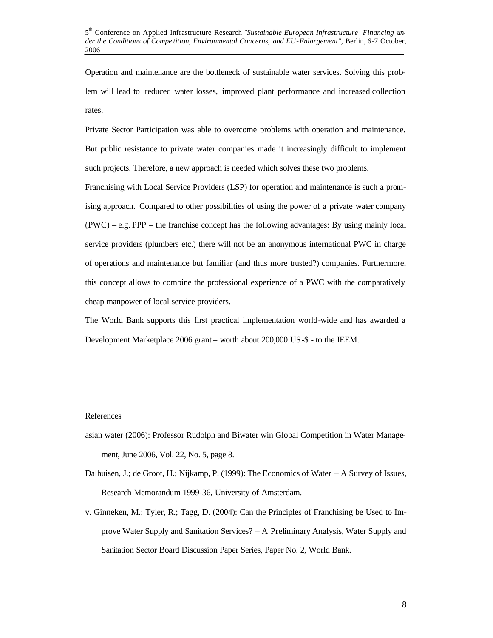Operation and maintenance are the bottleneck of sustainable water services. Solving this problem will lead to reduced water losses, improved plant performance and increased collection rates.

Private Sector Participation was able to overcome problems with operation and maintenance. But public resistance to private water companies made it increasingly difficult to implement such projects. Therefore, a new approach is needed which solves these two problems.

Franchising with Local Service Providers (LSP) for operation and maintenance is such a promising approach. Compared to other possibilities of using the power of a private water company (PWC) – e.g. PPP – the franchise concept has the following advantages: By using mainly local service providers (plumbers etc.) there will not be an anonymous international PWC in charge of operations and maintenance but familiar (and thus more trusted?) companies. Furthermore, this concept allows to combine the professional experience of a PWC with the comparatively cheap manpower of local service providers.

The World Bank supports this first practical implementation world-wide and has awarded a Development Marketplace 2006 grant – worth about 200,000 US-\$ - to the IEEM.

## References

- asian water (2006): Professor Rudolph and Biwater win Global Competition in Water Management, June 2006, Vol. 22, No. 5, page 8.
- Dalhuisen, J.; de Groot, H.; Nijkamp, P. (1999): The Economics of Water A Survey of Issues, Research Memorandum 1999-36, University of Amsterdam.
- v. Ginneken, M.; Tyler, R.; Tagg, D. (2004): Can the Principles of Franchising be Used to Improve Water Supply and Sanitation Services? – A Preliminary Analysis, Water Supply and Sanitation Sector Board Discussion Paper Series, Paper No. 2, World Bank.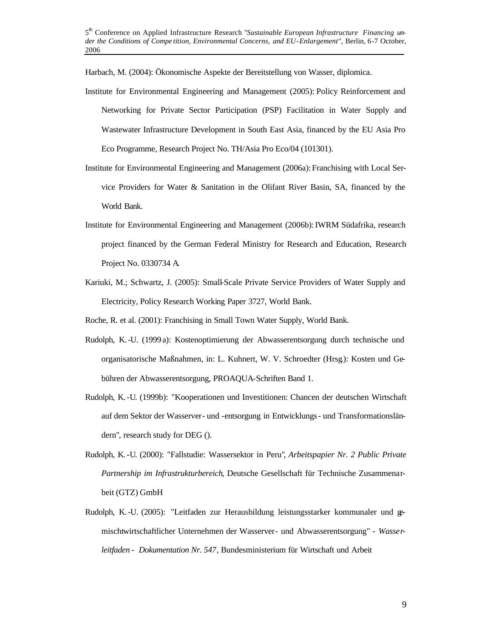Harbach, M. (2004): Ökonomische Aspekte der Bereitstellung von Wasser, diplomica.

- Institute for Environmental Engineering and Management (2005): Policy Reinforcement and Networking for Private Sector Participation (PSP) Facilitation in Water Supply and Wastewater Infrastructure Development in South East Asia, financed by the EU Asia Pro Eco Programme, Research Project No. TH/Asia Pro Eco/04 (101301).
- Institute for Environmental Engineering and Management (2006a): Franchising with Local Service Providers for Water & Sanitation in the Olifant River Basin, SA, financed by the World Bank.
- Institute for Environmental Engineering and Management (2006b):IWRM Südafrika, research project financed by the German Federal Ministry for Research and Education, Research Project No. 0330734 A.
- Kariuki, M.; Schwartz, J. (2005): Small-Scale Private Service Providers of Water Supply and Electricity, Policy Research Working Paper 3727, World Bank.
- Roche, R. et al. (2001): Franchising in Small Town Water Supply, World Bank.
- Rudolph, K.-U. (1999 a): Kostenoptimierung der Abwasserentsorgung durch technische und organisatorische Maßnahmen, in: L. Kuhnert, W. V. Schroedter (Hrsg.): Kosten und Gebühren der Abwasserentsorgung, PROAQUA-Schriften Band 1.
- Rudolph, K.-U. (1999b): "Kooperationen und Investitionen: Chancen der deutschen Wirtschaft auf dem Sektor der Wasserver- und -entsorgung in Entwicklungs- und Transformationsländern", research study for DEG ().
- Rudolph, K.-U. (2000): "Fallstudie: Wassersektor in Peru", *Arbeitspapier Nr. 2 Public Private Partnership im Infrastrukturbereich*, Deutsche Gesellschaft für Technische Zusammenarbeit (GTZ) GmbH
- Rudolph, K.-U. (2005): "Leitfaden zur Herausbildung leistungsstarker kommunaler und gemischtwirtschaftlicher Unternehmen der Wasserver- und Abwasserentsorgung" *- Wasserleitfaden - Dokumentation Nr. 547*, Bundesministerium für Wirtschaft und Arbeit